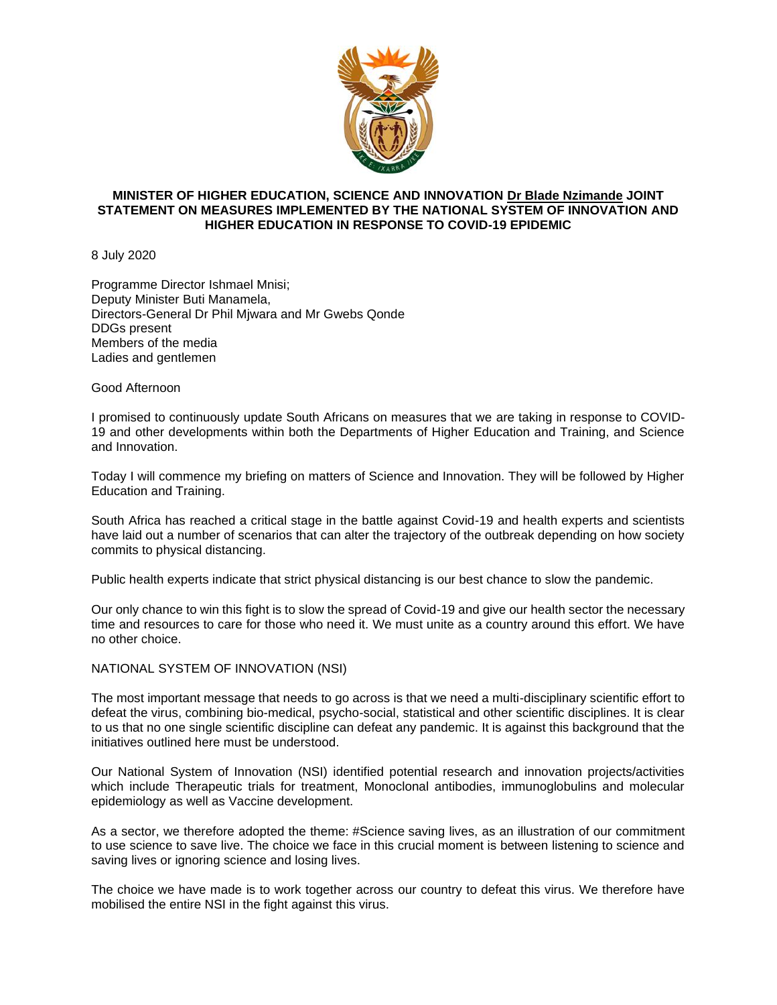

# **MINISTER OF HIGHER EDUCATION, SCIENCE AND INNOVATION [Dr Blade Nzimande](https://web.facebook.com/DrBladeNzimande/?__tn__=KH-R&eid=ARC2r856pkbXWQG1H6wML9L4t3zlDcea-DAdE_B4iX2DIMH0xZEVaobzN2bCa1-6SnG7iY73cb1Xk8Pr&fref=mentions&__xts__%5B0%5D=68.ARAj6R7qpozn82XNVRW2FV7ap4zvR-thk94uRuA2H9bPVxrCTLbMYOq6ZPOQc37kuHYTjwZXpsbqBMWQKMPMriuFA7ke0DvfSOwQIE6A6XbaYaA-aUOb96AgJjzG6ZyoGR67e6KymaoOavlPIjrfFhYnkLQmu7FO5SDiJTSC5YKZHM2N3BBqm78kIbFmYIVM3z3R_BxDcgmxSOIBthSEWOlZcvjNI_fYHXKjAT2HdDtVrqat2vTaukrwBMhL5ln3qcAn8ms9pe6EBnWEuUszmmXiif6TeX8O0gOlfUn0aZGGskt54ob3opAEXn0dEoprRwZ6MzDVLuZmh6wP) JOINT STATEMENT ON MEASURES IMPLEMENTED BY THE NATIONAL SYSTEM OF INNOVATION AND HIGHER EDUCATION IN RESPONSE TO COVID-19 EPIDEMIC**

8 July 2020

Programme Director Ishmael Mnisi; Deputy Minister Buti Manamela, Directors-General Dr Phil Mjwara and Mr Gwebs Qonde DDGs present Members of the media Ladies and gentlemen

Good Afternoon

I promised to continuously update South Africans on measures that we are taking in response to COVID-19 and other developments within both the Departments of Higher Education and Training, and Science and Innovation.

Today I will commence my briefing on matters of Science and Innovation. They will be followed by Higher Education and Training.

South Africa has reached a critical stage in the battle against Covid-19 and health experts and scientists have laid out a number of scenarios that can alter the trajectory of the outbreak depending on how society commits to physical distancing.

Public health experts indicate that strict physical distancing is our best chance to slow the pandemic.

Our only chance to win this fight is to slow the spread of Covid-19 and give our health sector the necessary time and resources to care for those who need it. We must unite as a country around this effort. We have no other choice.

NATIONAL SYSTEM OF INNOVATION (NSI)

The most important message that needs to go across is that we need a multi-disciplinary scientific effort to defeat the virus, combining bio-medical, psycho-social, statistical and other scientific disciplines. It is clear to us that no one single scientific discipline can defeat any pandemic. It is against this background that the initiatives outlined here must be understood.

Our National System of Innovation (NSI) identified potential research and innovation projects/activities which include Therapeutic trials for treatment, Monoclonal antibodies, immunoglobulins and molecular epidemiology as well as Vaccine development.

As a sector, we therefore adopted the theme: [#Science](https://web.facebook.com/hashtag/science?__eep__=6&source=feed_text&epa=HASHTAG&__xts__%5B0%5D=68.ARAj6R7qpozn82XNVRW2FV7ap4zvR-thk94uRuA2H9bPVxrCTLbMYOq6ZPOQc37kuHYTjwZXpsbqBMWQKMPMriuFA7ke0DvfSOwQIE6A6XbaYaA-aUOb96AgJjzG6ZyoGR67e6KymaoOavlPIjrfFhYnkLQmu7FO5SDiJTSC5YKZHM2N3BBqm78kIbFmYIVM3z3R_BxDcgmxSOIBthSEWOlZcvjNI_fYHXKjAT2HdDtVrqat2vTaukrwBMhL5ln3qcAn8ms9pe6EBnWEuUszmmXiif6TeX8O0gOlfUn0aZGGskt54ob3opAEXn0dEoprRwZ6MzDVLuZmh6wP&__tn__=%2ANKH-R) saving lives, as an illustration of our commitment to use science to save live. The choice we face in this crucial moment is between listening to science and saving lives or ignoring science and losing lives.

The choice we have made is to work together across our country to defeat this virus. We therefore have mobilised the entire NSI in the fight against this virus.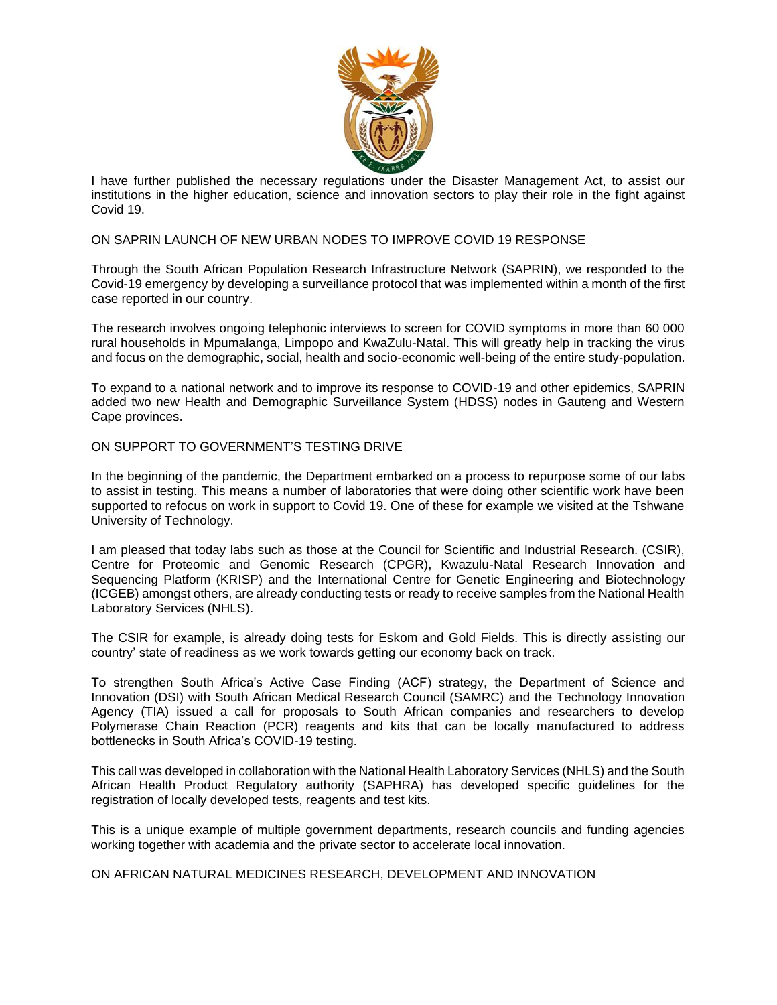

I have further published the necessary regulations under the Disaster Management Act, to assist our institutions in the higher education, science and innovation sectors to play their role in the fight against Covid 19.

# ON SAPRIN LAUNCH OF NEW URBAN NODES TO IMPROVE COVID 19 RESPONSE

Through the South African Population Research Infrastructure Network (SAPRIN), we responded to the Covid-19 emergency by developing a surveillance protocol that was implemented within a month of the first case reported in our country.

The research involves ongoing telephonic interviews to screen for COVID symptoms in more than 60 000 rural households in Mpumalanga, Limpopo and KwaZulu-Natal. This will greatly help in tracking the virus and focus on the demographic, social, health and socio-economic well-being of the entire study-population.

To expand to a national network and to improve its response to COVID-19 and other epidemics, SAPRIN added two new Health and Demographic Surveillance System (HDSS) nodes in Gauteng and Western Cape provinces.

ON SUPPORT TO GOVERNMENT'S TESTING DRIVE

In the beginning of the pandemic, the Department embarked on a process to repurpose some of our labs to assist in testing. This means a number of laboratories that were doing other scientific work have been supported to refocus on work in support to Covid 19. One of these for example we visited at the Tshwane University of Technology.

I am pleased that today labs such as those at the Council for Scientific and Industrial Research. (CSIR), Centre for Proteomic and Genomic Research (CPGR), Kwazulu-Natal Research Innovation and Sequencing Platform (KRISP) and the International Centre for Genetic Engineering and Biotechnology (ICGEB) amongst others, are already conducting tests or ready to receive samples from the National Health Laboratory Services (NHLS).

The CSIR for example, is already doing tests for Eskom and Gold Fields. This is directly assisting our country' state of readiness as we work towards getting our economy back on track.

To strengthen South Africa's Active Case Finding (ACF) strategy, the Department of Science and Innovation (DSI) with South African Medical Research Council (SAMRC) and the Technology Innovation Agency (TIA) issued a call for proposals to South African companies and researchers to develop Polymerase Chain Reaction (PCR) reagents and kits that can be locally manufactured to address bottlenecks in South Africa's COVID-19 testing.

This call was developed in collaboration with the National Health Laboratory Services (NHLS) and the South African Health Product Regulatory authority (SAPHRA) has developed specific guidelines for the registration of locally developed tests, reagents and test kits.

This is a unique example of multiple government departments, research councils and funding agencies working together with academia and the private sector to accelerate local innovation.

ON AFRICAN NATURAL MEDICINES RESEARCH, DEVELOPMENT AND INNOVATION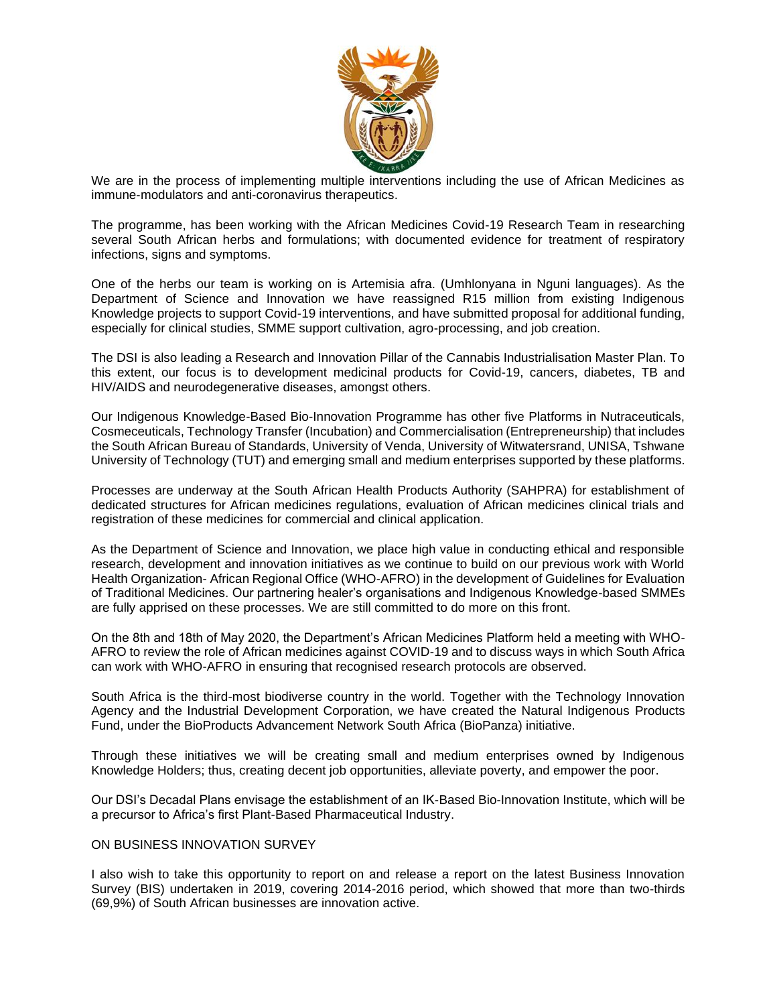

We are in the process of implementing multiple interventions including the use of African Medicines as immune-modulators and anti-coronavirus therapeutics.

The programme, has been working with the African Medicines Covid-19 Research Team in researching several South African herbs and formulations; with documented evidence for treatment of respiratory infections, signs and symptoms.

One of the herbs our team is working on is Artemisia afra. (Umhlonyana in Nguni languages). As the Department of Science and Innovation we have reassigned R15 million from existing Indigenous Knowledge projects to support Covid-19 interventions, and have submitted proposal for additional funding, especially for clinical studies, SMME support cultivation, agro-processing, and job creation.

The DSI is also leading a Research and Innovation Pillar of the Cannabis Industrialisation Master Plan. To this extent, our focus is to development medicinal products for Covid-19, cancers, diabetes, TB and HIV/AIDS and neurodegenerative diseases, amongst others.

Our Indigenous Knowledge-Based Bio-Innovation Programme has other five Platforms in Nutraceuticals, Cosmeceuticals, Technology Transfer (Incubation) and Commercialisation (Entrepreneurship) that includes the South African Bureau of Standards, University of Venda, University of Witwatersrand, UNISA, Tshwane University of Technology (TUT) and emerging small and medium enterprises supported by these platforms.

Processes are underway at the South African Health Products Authority (SAHPRA) for establishment of dedicated structures for African medicines regulations, evaluation of African medicines clinical trials and registration of these medicines for commercial and clinical application.

As the Department of Science and Innovation, we place high value in conducting ethical and responsible research, development and innovation initiatives as we continue to build on our previous work with World Health Organization- African Regional Office (WHO-AFRO) in the development of Guidelines for Evaluation of Traditional Medicines. Our partnering healer's organisations and Indigenous Knowledge-based SMMEs are fully apprised on these processes. We are still committed to do more on this front.

On the 8th and 18th of May 2020, the Department's African Medicines Platform held a meeting with WHO-AFRO to review the role of African medicines against COVID-19 and to discuss ways in which South Africa can work with WHO-AFRO in ensuring that recognised research protocols are observed.

South Africa is the third-most biodiverse country in the world. Together with the Technology Innovation Agency and the Industrial Development Corporation, we have created the Natural Indigenous Products Fund, under the BioProducts Advancement Network South Africa (BioPanza) initiative.

Through these initiatives we will be creating small and medium enterprises owned by Indigenous Knowledge Holders; thus, creating decent job opportunities, alleviate poverty, and empower the poor.

Our DSI's Decadal Plans envisage the establishment of an IK-Based Bio-Innovation Institute, which will be a precursor to Africa's first Plant-Based Pharmaceutical Industry.

### ON BUSINESS INNOVATION SURVEY

I also wish to take this opportunity to report on and release a report on the latest Business Innovation Survey (BIS) undertaken in 2019, covering 2014-2016 period, which showed that more than two-thirds (69,9%) of South African businesses are innovation active.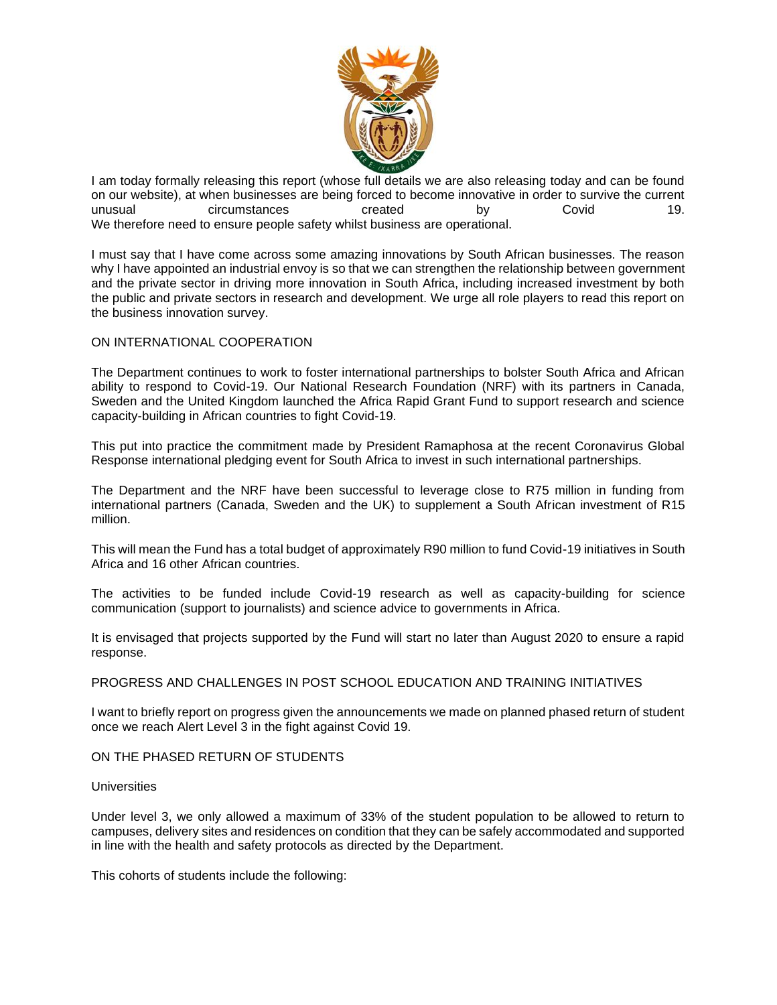

I am today formally releasing this report (whose full details we are also releasing today and can be found on our website), at when businesses are being forced to become innovative in order to survive the current<br>
circumstances ereated by Covid Covid 19. unusual circumstances created by Covid 19. We therefore need to ensure people safety whilst business are operational.

I must say that I have come across some amazing innovations by South African businesses. The reason why I have appointed an industrial envoy is so that we can strengthen the relationship between government and the private sector in driving more innovation in South Africa, including increased investment by both the public and private sectors in research and development. We urge all role players to read this report on the business innovation survey.

# ON INTERNATIONAL COOPERATION

The Department continues to work to foster international partnerships to bolster South Africa and African ability to respond to Covid-19. Our National Research Foundation (NRF) with its partners in Canada, Sweden and the United Kingdom launched the Africa Rapid Grant Fund to support research and science capacity-building in African countries to fight Covid-19.

This put into practice the commitment made by President Ramaphosa at the recent Coronavirus Global Response international pledging event for South Africa to invest in such international partnerships.

The Department and the NRF have been successful to leverage close to R75 million in funding from international partners (Canada, Sweden and the UK) to supplement a South African investment of R15 million.

This will mean the Fund has a total budget of approximately R90 million to fund Covid-19 initiatives in South Africa and 16 other African countries.

The activities to be funded include Covid-19 research as well as capacity-building for science communication (support to journalists) and science advice to governments in Africa.

It is envisaged that projects supported by the Fund will start no later than August 2020 to ensure a rapid response.

### PROGRESS AND CHALLENGES IN POST SCHOOL EDUCATION AND TRAINING INITIATIVES

I want to briefly report on progress given the announcements we made on planned phased return of student once we reach Alert Level 3 in the fight against Covid 19.

ON THE PHASED RETURN OF STUDENTS

#### **Universities**

Under level 3, we only allowed a maximum of 33% of the student population to be allowed to return to campuses, delivery sites and residences on condition that they can be safely accommodated and supported in line with the health and safety protocols as directed by the Department.

This cohorts of students include the following: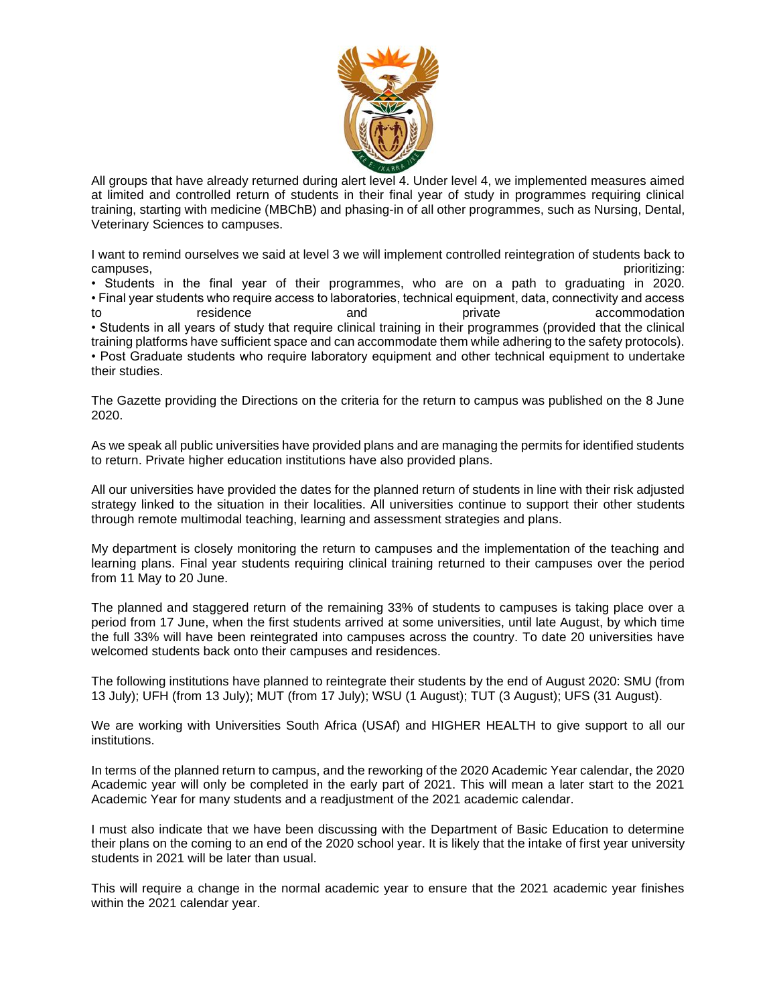

All groups that have already returned during alert level 4. Under level 4, we implemented measures aimed at limited and controlled return of students in their final year of study in programmes requiring clinical training, starting with medicine (MBChB) and phasing-in of all other programmes, such as Nursing, Dental, Veterinary Sciences to campuses.

I want to remind ourselves we said at level 3 we will implement controlled reintegration of students back to campuses, prioritizing:

• Students in the final year of their programmes, who are on a path to graduating in 2020. • Final year students who require access to laboratories, technical equipment, data, connectivity and access to residence and private accommodation and provide accommodation • Students in all years of study that require clinical training in their programmes (provided that the clinical training platforms have sufficient space and can accommodate them while adhering to the safety protocols). • Post Graduate students who require laboratory equipment and other technical equipment to undertake their studies.

The Gazette providing the Directions on the criteria for the return to campus was published on the 8 June 2020.

As we speak all public universities have provided plans and are managing the permits for identified students to return. Private higher education institutions have also provided plans.

All our universities have provided the dates for the planned return of students in line with their risk adjusted strategy linked to the situation in their localities. All universities continue to support their other students through remote multimodal teaching, learning and assessment strategies and plans.

My department is closely monitoring the return to campuses and the implementation of the teaching and learning plans. Final year students requiring clinical training returned to their campuses over the period from 11 May to 20 June.

The planned and staggered return of the remaining 33% of students to campuses is taking place over a period from 17 June, when the first students arrived at some universities, until late August, by which time the full 33% will have been reintegrated into campuses across the country. To date 20 universities have welcomed students back onto their campuses and residences.

The following institutions have planned to reintegrate their students by the end of August 2020: SMU (from 13 July); UFH (from 13 July); MUT (from 17 July); WSU (1 August); TUT (3 August); UFS (31 August).

We are working with Universities South Africa (USAf) and HIGHER HEALTH to give support to all our institutions.

In terms of the planned return to campus, and the reworking of the 2020 Academic Year calendar, the 2020 Academic year will only be completed in the early part of 2021. This will mean a later start to the 2021 Academic Year for many students and a readjustment of the 2021 academic calendar.

I must also indicate that we have been discussing with the Department of Basic Education to determine their plans on the coming to an end of the 2020 school year. It is likely that the intake of first year university students in 2021 will be later than usual.

This will require a change in the normal academic year to ensure that the 2021 academic year finishes within the 2021 calendar year.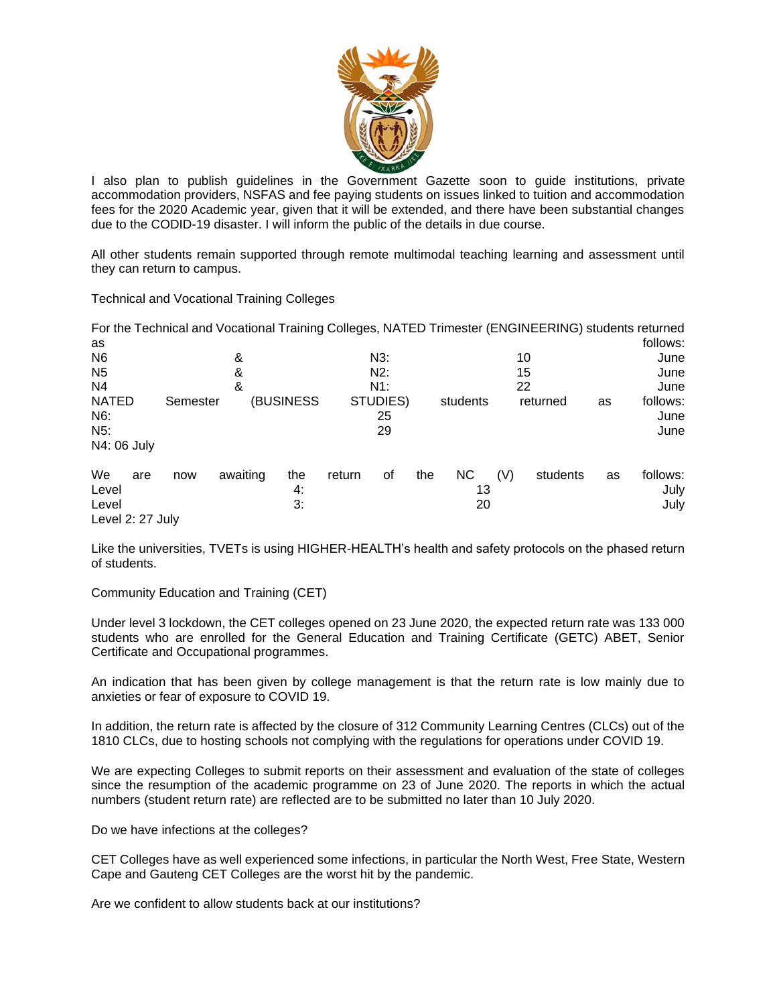

I also plan to publish guidelines in the Government Gazette soon to guide institutions, private accommodation providers, NSFAS and fee paying students on issues linked to tuition and accommodation fees for the 2020 Academic year, given that it will be extended, and there have been substantial changes due to the CODID-19 disaster. I will inform the public of the details in due course.

All other students remain supported through remote multimodal teaching learning and assessment until they can return to campus.

Technical and Vocational Training Colleges

|                                                        |          |          |                 |        |                      |     |                       |     | For the Technical and Vocational Training Colleges, NATED Trimester (ENGINEERING) students returned |    |                          |
|--------------------------------------------------------|----------|----------|-----------------|--------|----------------------|-----|-----------------------|-----|-----------------------------------------------------------------------------------------------------|----|--------------------------|
| as                                                     |          |          |                 |        |                      |     |                       |     |                                                                                                     |    | follows:                 |
| N <sub>6</sub>                                         | &        |          |                 | $N3$ . |                      |     | 10                    |     |                                                                                                     |    | June                     |
| N <sub>5</sub>                                         | &        |          |                 | $N2$ : |                      |     | 15                    |     |                                                                                                     |    | June                     |
| N4                                                     |          | N1:      |                 |        | 22                   |     |                       |     | June                                                                                                |    |                          |
| <b>NATED</b><br>N6:<br>N <sub>5</sub> :<br>N4: 06 July | Semester |          | (BUSINESS       |        | STUDIES)<br>25<br>29 |     | students              |     | returned                                                                                            | as | follows:<br>June<br>June |
| We<br>are<br>Level<br>Level<br>Level 2: 27 July        | now      | awaiting | the<br>4:<br>3: | return | of                   | the | <b>NC</b><br>13<br>20 | (V) | students                                                                                            | as | follows:<br>July<br>July |

Like the universities, TVETs is using HIGHER-HEALTH's health and safety protocols on the phased return of students.

Community Education and Training (CET)

Under level 3 lockdown, the CET colleges opened on 23 June 2020, the expected return rate was 133 000 students who are enrolled for the General Education and Training Certificate (GETC) ABET, Senior Certificate and Occupational programmes.

An indication that has been given by college management is that the return rate is low mainly due to anxieties or fear of exposure to COVID 19.

In addition, the return rate is affected by the closure of 312 Community Learning Centres (CLCs) out of the 1810 CLCs, due to hosting schools not complying with the regulations for operations under COVID 19.

We are expecting Colleges to submit reports on their assessment and evaluation of the state of colleges since the resumption of the academic programme on 23 of June 2020. The reports in which the actual numbers (student return rate) are reflected are to be submitted no later than 10 July 2020.

Do we have infections at the colleges?

CET Colleges have as well experienced some infections, in particular the North West, Free State, Western Cape and Gauteng CET Colleges are the worst hit by the pandemic.

Are we confident to allow students back at our institutions?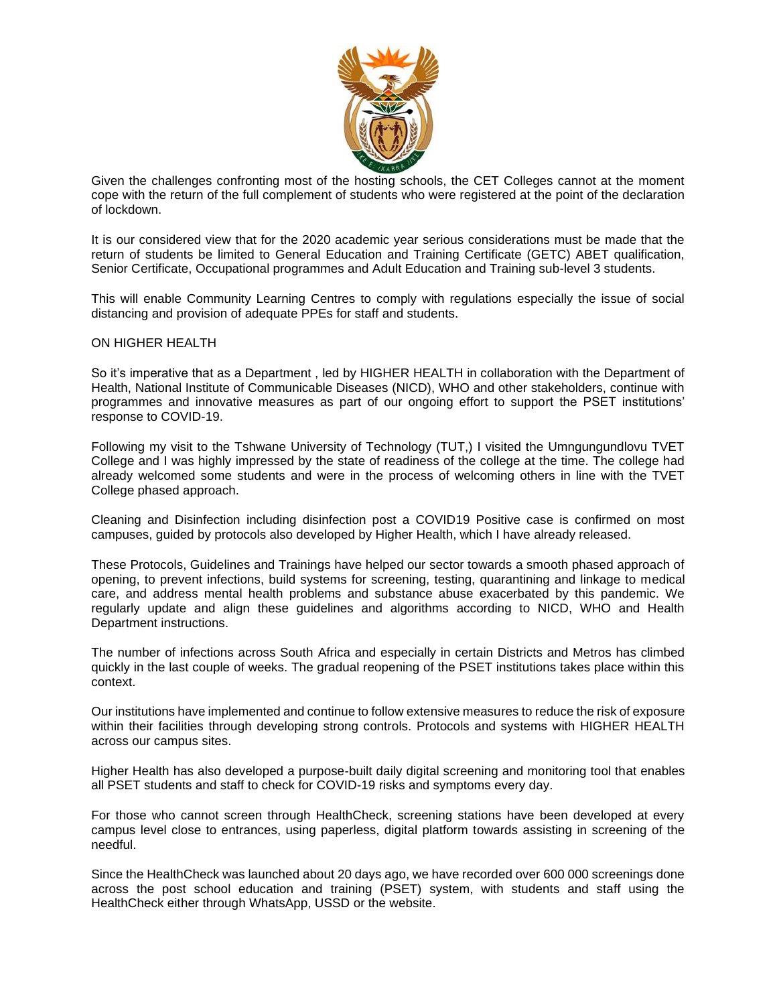

Given the challenges confronting most of the hosting schools, the CET Colleges cannot at the moment cope with the return of the full complement of students who were registered at the point of the declaration of lockdown.

It is our considered view that for the 2020 academic year serious considerations must be made that the return of students be limited to General Education and Training Certificate (GETC) ABET qualification, Senior Certificate, Occupational programmes and Adult Education and Training sub-level 3 students.

This will enable Community Learning Centres to comply with regulations especially the issue of social distancing and provision of adequate PPEs for staff and students.

ON HIGHER HEALTH

So it's imperative that as a Department , led by HIGHER HEALTH in collaboration with the Department of Health, National Institute of Communicable Diseases (NICD), WHO and other stakeholders, continue with programmes and innovative measures as part of our ongoing effort to support the PSET institutions' response to COVID-19.

Following my visit to the Tshwane University of Technology (TUT,) I visited the Umngungundlovu TVET College and I was highly impressed by the state of readiness of the college at the time. The college had already welcomed some students and were in the process of welcoming others in line with the TVET College phased approach.

Cleaning and Disinfection including disinfection post a COVID19 Positive case is confirmed on most campuses, guided by protocols also developed by Higher Health, which I have already released.

These Protocols, Guidelines and Trainings have helped our sector towards a smooth phased approach of opening, to prevent infections, build systems for screening, testing, quarantining and linkage to medical care, and address mental health problems and substance abuse exacerbated by this pandemic. We regularly update and align these guidelines and algorithms according to NICD, WHO and Health Department instructions.

The number of infections across South Africa and especially in certain Districts and Metros has climbed quickly in the last couple of weeks. The gradual reopening of the PSET institutions takes place within this context.

Our institutions have implemented and continue to follow extensive measures to reduce the risk of exposure within their facilities through developing strong controls. Protocols and systems with HIGHER HEALTH across our campus sites.

Higher Health has also developed a purpose-built daily digital screening and monitoring tool that enables all PSET students and staff to check for COVID-19 risks and symptoms every day.

For those who cannot screen through HealthCheck, screening stations have been developed at every campus level close to entrances, using paperless, digital platform towards assisting in screening of the needful.

Since the HealthCheck was launched about 20 days ago, we have recorded over 600 000 screenings done across the post school education and training (PSET) system, with students and staff using the HealthCheck either through WhatsApp, USSD or the website.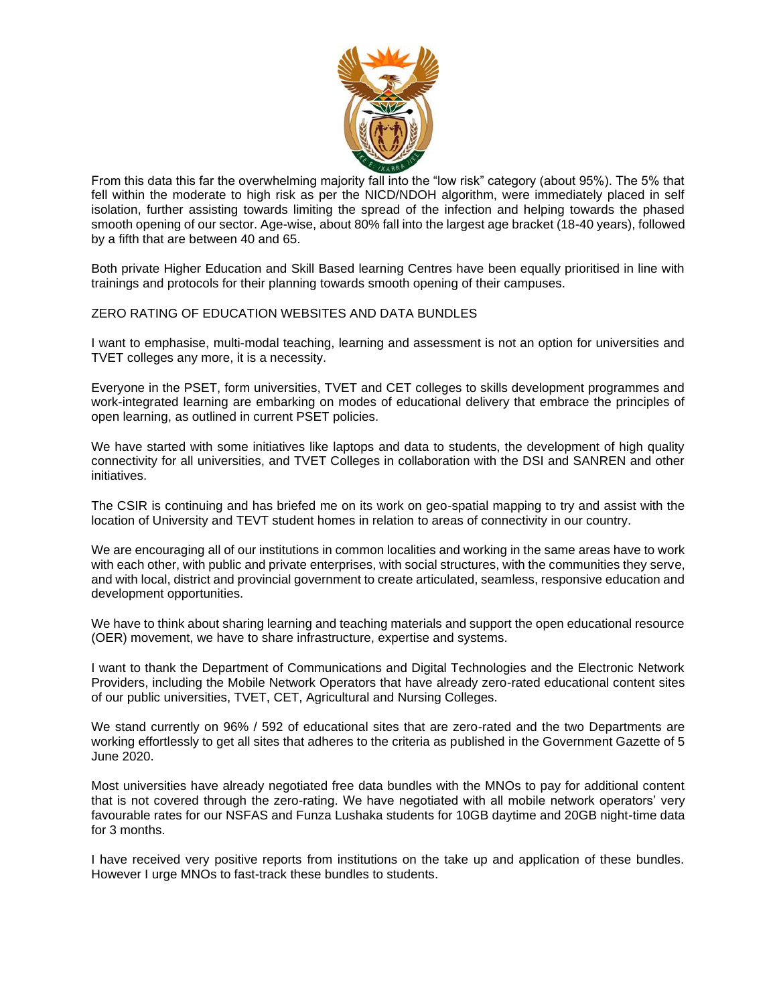

From this data this far the overwhelming majority fall into the "low risk" category (about 95%). The 5% that fell within the moderate to high risk as per the NICD/NDOH algorithm, were immediately placed in self isolation, further assisting towards limiting the spread of the infection and helping towards the phased smooth opening of our sector. Age-wise, about 80% fall into the largest age bracket (18-40 years), followed by a fifth that are between 40 and 65.

Both private Higher Education and Skill Based learning Centres have been equally prioritised in line with trainings and protocols for their planning towards smooth opening of their campuses.

# ZERO RATING OF EDUCATION WEBSITES AND DATA BUNDLES

I want to emphasise, multi-modal teaching, learning and assessment is not an option for universities and TVET colleges any more, it is a necessity.

Everyone in the PSET, form universities, TVET and CET colleges to skills development programmes and work-integrated learning are embarking on modes of educational delivery that embrace the principles of open learning, as outlined in current PSET policies.

We have started with some initiatives like laptops and data to students, the development of high quality connectivity for all universities, and TVET Colleges in collaboration with the DSI and SANREN and other initiatives.

The CSIR is continuing and has briefed me on its work on geo-spatial mapping to try and assist with the location of University and TEVT student homes in relation to areas of connectivity in our country.

We are encouraging all of our institutions in common localities and working in the same areas have to work with each other, with public and private enterprises, with social structures, with the communities they serve, and with local, district and provincial government to create articulated, seamless, responsive education and development opportunities.

We have to think about sharing learning and teaching materials and support the open educational resource (OER) movement, we have to share infrastructure, expertise and systems.

I want to thank the Department of Communications and Digital Technologies and the Electronic Network Providers, including the Mobile Network Operators that have already zero-rated educational content sites of our public universities, TVET, CET, Agricultural and Nursing Colleges.

We stand currently on 96% / 592 of educational sites that are zero-rated and the two Departments are working effortlessly to get all sites that adheres to the criteria as published in the Government Gazette of 5 June 2020.

Most universities have already negotiated free data bundles with the MNOs to pay for additional content that is not covered through the zero-rating. We have negotiated with all mobile network operators' very favourable rates for our NSFAS and Funza Lushaka students for 10GB daytime and 20GB night-time data for 3 months.

I have received very positive reports from institutions on the take up and application of these bundles. However I urge MNOs to fast-track these bundles to students.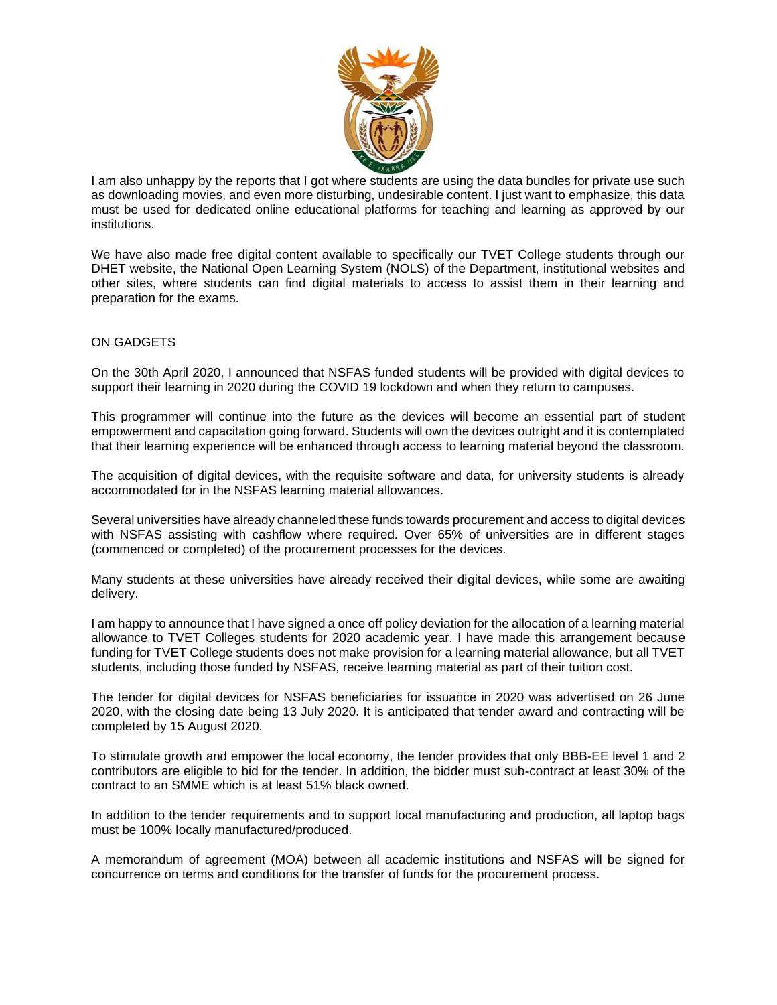

I am also unhappy by the reports that I got where students are using the data bundles for private use such as downloading movies, and even more disturbing, undesirable content. I just want to emphasize, this data must be used for dedicated online educational platforms for teaching and learning as approved by our institutions.

We have also made free digital content available to specifically our TVET College students through our DHET website, the National Open Learning System (NOLS) of the Department, institutional websites and other sites, where students can find digital materials to access to assist them in their learning and preparation for the exams.

# ON GADGETS

On the 30th April 2020, I announced that NSFAS funded students will be provided with digital devices to support their learning in 2020 during the COVID 19 lockdown and when they return to campuses.

This programmer will continue into the future as the devices will become an essential part of student empowerment and capacitation going forward. Students will own the devices outright and it is contemplated that their learning experience will be enhanced through access to learning material beyond the classroom.

The acquisition of digital devices, with the requisite software and data, for university students is already accommodated for in the NSFAS learning material allowances.

Several universities have already channeled these funds towards procurement and access to digital devices with NSFAS assisting with cashflow where required. Over 65% of universities are in different stages (commenced or completed) of the procurement processes for the devices.

Many students at these universities have already received their digital devices, while some are awaiting delivery.

I am happy to announce that I have signed a once off policy deviation for the allocation of a learning material allowance to TVET Colleges students for 2020 academic year. I have made this arrangement because funding for TVET College students does not make provision for a learning material allowance, but all TVET students, including those funded by NSFAS, receive learning material as part of their tuition cost.

The tender for digital devices for NSFAS beneficiaries for issuance in 2020 was advertised on 26 June 2020, with the closing date being 13 July 2020. It is anticipated that tender award and contracting will be completed by 15 August 2020.

To stimulate growth and empower the local economy, the tender provides that only BBB-EE level 1 and 2 contributors are eligible to bid for the tender. In addition, the bidder must sub-contract at least 30% of the contract to an SMME which is at least 51% black owned.

In addition to the tender requirements and to support local manufacturing and production, all laptop bags must be 100% locally manufactured/produced.

A memorandum of agreement (MOA) between all academic institutions and NSFAS will be signed for concurrence on terms and conditions for the transfer of funds for the procurement process.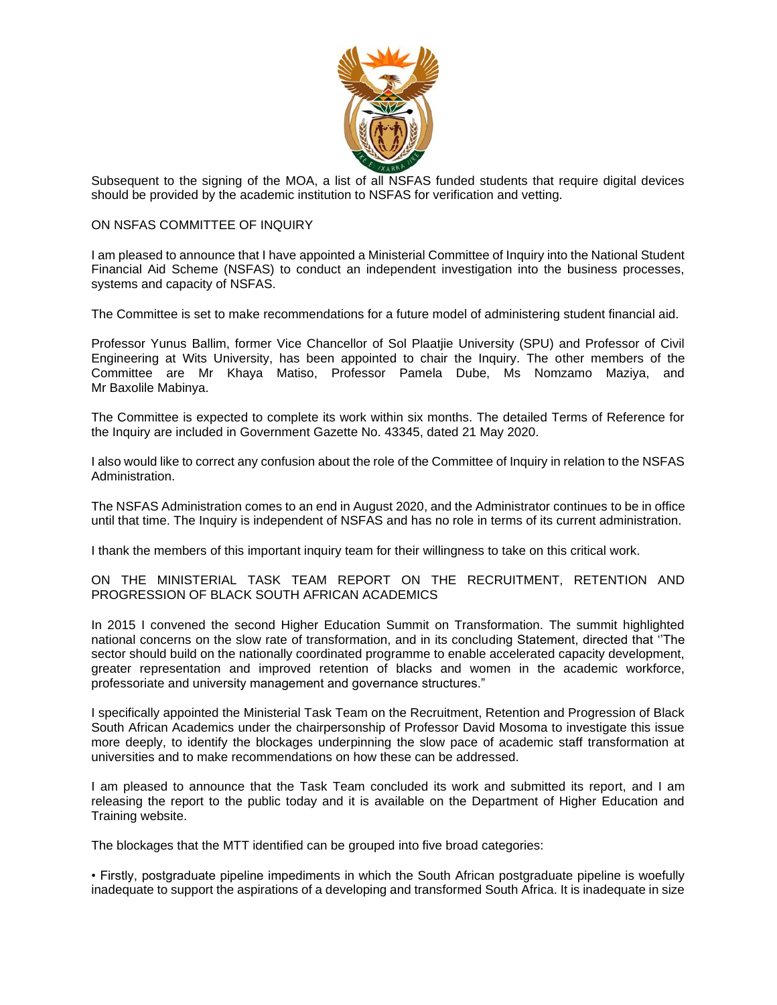

Subsequent to the signing of the MOA, a list of all NSFAS funded students that require digital devices should be provided by the academic institution to NSFAS for verification and vetting.

### ON NSFAS COMMITTEE OF INQUIRY

I am pleased to announce that I have appointed a Ministerial Committee of Inquiry into the National Student Financial Aid Scheme (NSFAS) to conduct an independent investigation into the business processes, systems and capacity of NSFAS.

The Committee is set to make recommendations for a future model of administering student financial aid.

Professor Yunus Ballim, former Vice Chancellor of Sol Plaatjie University (SPU) and Professor of Civil Engineering at Wits University, has been appointed to chair the Inquiry. The other members of the Committee are Mr Khaya Matiso, Professor Pamela Dube, Ms Nomzamo Maziya, and Mr Baxolile Mabinya.

The Committee is expected to complete its work within six months. The detailed Terms of Reference for the Inquiry are included in Government Gazette No. 43345, dated 21 May 2020.

I also would like to correct any confusion about the role of the Committee of Inquiry in relation to the NSFAS Administration.

The NSFAS Administration comes to an end in August 2020, and the Administrator continues to be in office until that time. The Inquiry is independent of NSFAS and has no role in terms of its current administration.

I thank the members of this important inquiry team for their willingness to take on this critical work.

### ON THE MINISTERIAL TASK TEAM REPORT ON THE RECRUITMENT, RETENTION AND PROGRESSION OF BLACK SOUTH AFRICAN ACADEMICS

In 2015 I convened the second Higher Education Summit on Transformation. The summit highlighted national concerns on the slow rate of transformation, and in its concluding Statement, directed that ''The sector should build on the nationally coordinated programme to enable accelerated capacity development, greater representation and improved retention of blacks and women in the academic workforce, professoriate and university management and governance structures."

I specifically appointed the Ministerial Task Team on the Recruitment, Retention and Progression of Black South African Academics under the chairpersonship of Professor David Mosoma to investigate this issue more deeply, to identify the blockages underpinning the slow pace of academic staff transformation at universities and to make recommendations on how these can be addressed.

I am pleased to announce that the Task Team concluded its work and submitted its report, and I am releasing the report to the public today and it is available on the Department of Higher Education and Training website.

The blockages that the MTT identified can be grouped into five broad categories:

• Firstly, postgraduate pipeline impediments in which the South African postgraduate pipeline is woefully inadequate to support the aspirations of a developing and transformed South Africa. It is inadequate in size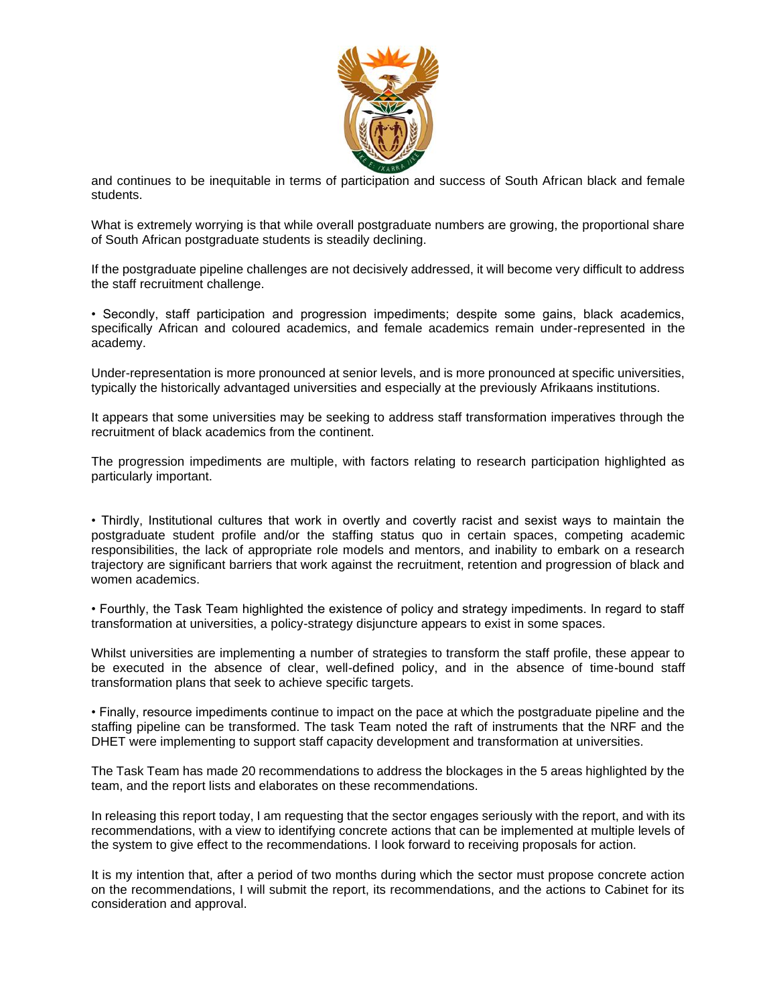

and continues to be inequitable in terms of participation and success of South African black and female students.

What is extremely worrying is that while overall postgraduate numbers are growing, the proportional share of South African postgraduate students is steadily declining.

If the postgraduate pipeline challenges are not decisively addressed, it will become very difficult to address the staff recruitment challenge.

• Secondly, staff participation and progression impediments; despite some gains, black academics, specifically African and coloured academics, and female academics remain under-represented in the academy.

Under-representation is more pronounced at senior levels, and is more pronounced at specific universities, typically the historically advantaged universities and especially at the previously Afrikaans institutions.

It appears that some universities may be seeking to address staff transformation imperatives through the recruitment of black academics from the continent.

The progression impediments are multiple, with factors relating to research participation highlighted as particularly important.

• Thirdly, Institutional cultures that work in overtly and covertly racist and sexist ways to maintain the postgraduate student profile and/or the staffing status quo in certain spaces, competing academic responsibilities, the lack of appropriate role models and mentors, and inability to embark on a research trajectory are significant barriers that work against the recruitment, retention and progression of black and women academics.

• Fourthly, the Task Team highlighted the existence of policy and strategy impediments. In regard to staff transformation at universities, a policy-strategy disjuncture appears to exist in some spaces.

Whilst universities are implementing a number of strategies to transform the staff profile, these appear to be executed in the absence of clear, well-defined policy, and in the absence of time-bound staff transformation plans that seek to achieve specific targets.

• Finally, resource impediments continue to impact on the pace at which the postgraduate pipeline and the staffing pipeline can be transformed. The task Team noted the raft of instruments that the NRF and the DHET were implementing to support staff capacity development and transformation at universities.

The Task Team has made 20 recommendations to address the blockages in the 5 areas highlighted by the team, and the report lists and elaborates on these recommendations.

In releasing this report today, I am requesting that the sector engages seriously with the report, and with its recommendations, with a view to identifying concrete actions that can be implemented at multiple levels of the system to give effect to the recommendations. I look forward to receiving proposals for action.

It is my intention that, after a period of two months during which the sector must propose concrete action on the recommendations, I will submit the report, its recommendations, and the actions to Cabinet for its consideration and approval.